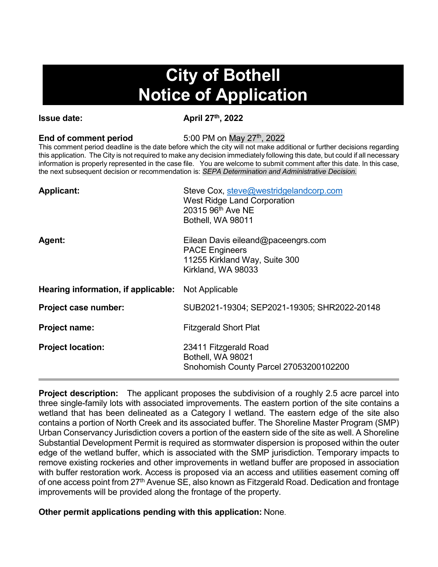## **City of Bothell Notice of Application**

**Issue date:** April 27<sup>th</sup>, 2022

**End of comment period** 5:00 PM on May 27<sup>th</sup>, 2022

This comment period deadline is the date before which the city will not make additional or further decisions regarding this application. The City is not required to make any decision immediately following this date, but could if all necessary information is properly represented in the case file. You are welcome to submit comment after this date. In this case, the next subsequent decision or recommendation is: *SEPA Determination and Administrative Decision.*

| <b>Applicant:</b>                   | Steve Cox, steve@westridgelandcorp.com<br><b>West Ridge Land Corporation</b><br>20315 96th Ave NE<br>Bothell, WA 98011 |
|-------------------------------------|------------------------------------------------------------------------------------------------------------------------|
| Agent:                              | Eilean Davis eileand@paceengrs.com<br><b>PACE Engineers</b><br>11255 Kirkland Way, Suite 300<br>Kirkland, WA 98033     |
| Hearing information, if applicable: | Not Applicable                                                                                                         |
| Project case number:                | SUB2021-19304; SEP2021-19305; SHR2022-20148                                                                            |
| <b>Project name:</b>                | <b>Fitzgerald Short Plat</b>                                                                                           |
| <b>Project location:</b>            | 23411 Fitzgerald Road<br>Bothell, WA 98021<br>Snohomish County Parcel 27053200102200                                   |

**Project description:** The applicant proposes the subdivision of a roughly 2.5 acre parcel into three single-family lots with associated improvements. The eastern portion of the site contains a wetland that has been delineated as a Category I wetland. The eastern edge of the site also contains a portion of North Creek and its associated buffer. The Shoreline Master Program (SMP) Urban Conservancy Jurisdiction covers a portion of the eastern side of the site as well. A Shoreline Substantial Development Permit is required as stormwater dispersion is proposed within the outer edge of the wetland buffer, which is associated with the SMP jurisdiction. Temporary impacts to remove existing rockeries and other improvements in wetland buffer are proposed in association with buffer restoration work. Access is proposed via an access and utilities easement coming off of one access point from 27<sup>th</sup> Avenue SE, also known as Fitzgerald Road. Dedication and frontage improvements will be provided along the frontage of the property.

**Other permit applications pending with this application:** None.